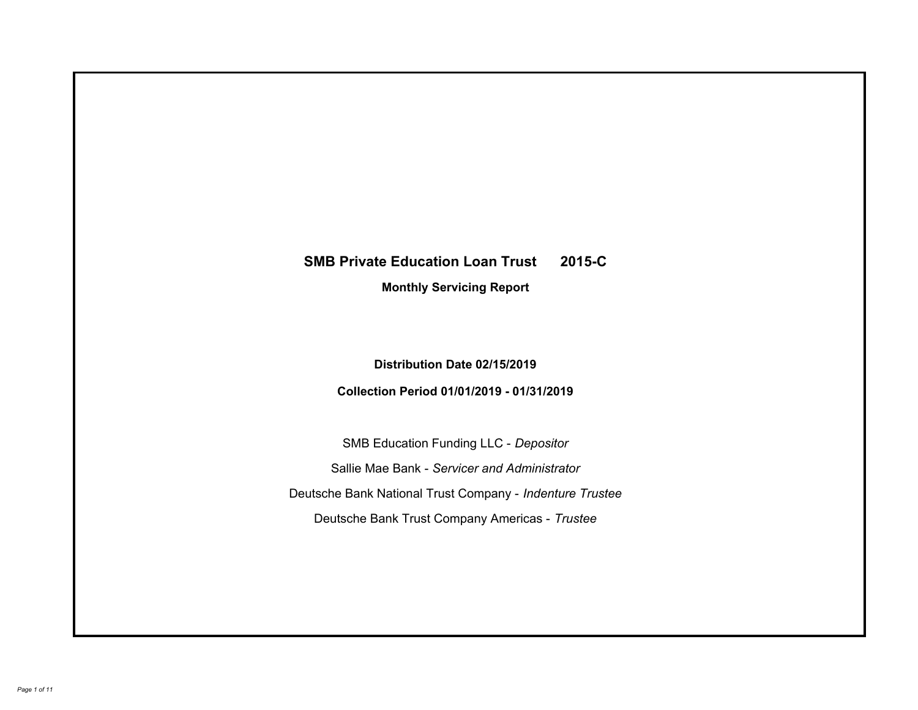# **SMB Private Education Loan Trust 2015-C Monthly Servicing Report**

# **Distribution Date 02/15/2019**

# **Collection Period 01/01/2019 - 01/31/2019**

SMB Education Funding LLC - *Depositor* Sallie Mae Bank - *Servicer and Administrator* Deutsche Bank National Trust Company - *Indenture Trustee* Deutsche Bank Trust Company Americas - *Trustee*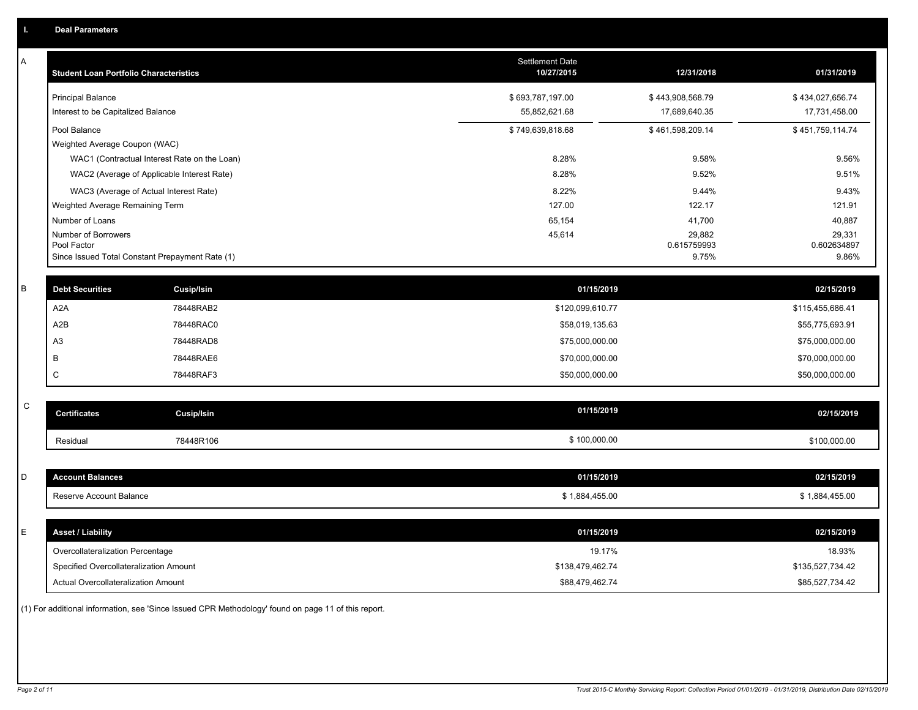| Α           | <b>Student Loan Portfolio Characteristics</b>   |                                              | Settlement Date<br>10/27/2015 | 12/31/2018           | 01/31/2019           |
|-------------|-------------------------------------------------|----------------------------------------------|-------------------------------|----------------------|----------------------|
|             | <b>Principal Balance</b>                        |                                              | \$693,787,197.00              | \$443,908,568.79     | \$434,027,656.74     |
|             | Interest to be Capitalized Balance              |                                              | 55,852,621.68                 | 17,689,640.35        | 17,731,458.00        |
|             | Pool Balance                                    |                                              | \$749,639,818.68              | \$461,598,209.14     | \$451,759,114.74     |
|             | Weighted Average Coupon (WAC)                   |                                              |                               |                      |                      |
|             |                                                 | WAC1 (Contractual Interest Rate on the Loan) | 8.28%                         | 9.58%                | 9.56%                |
|             |                                                 | WAC2 (Average of Applicable Interest Rate)   | 8.28%                         | 9.52%                | 9.51%                |
|             | WAC3 (Average of Actual Interest Rate)          |                                              | 8.22%                         | 9.44%                | 9.43%                |
|             | Weighted Average Remaining Term                 |                                              | 127.00                        | 122.17               | 121.91               |
|             | Number of Loans                                 |                                              | 65,154                        | 41,700               | 40,887               |
|             | Number of Borrowers<br>Pool Factor              |                                              | 45,614                        | 29,882               | 29,331               |
|             | Since Issued Total Constant Prepayment Rate (1) |                                              |                               | 0.615759993<br>9.75% | 0.602634897<br>9.86% |
|             |                                                 |                                              |                               |                      |                      |
| B           | <b>Debt Securities</b>                          | Cusip/Isin                                   | 01/15/2019                    |                      | 02/15/2019           |
|             | A <sub>2</sub> A                                | 78448RAB2                                    | \$120,099,610.77              |                      | \$115,455,686.41     |
|             | A <sub>2</sub> B                                | 78448RAC0                                    | \$58,019,135.63               |                      | \$55,775,693.91      |
|             | A <sub>3</sub>                                  | 78448RAD8                                    | \$75,000,000.00               |                      | \$75,000,000.00      |
|             | В                                               | 78448RAE6                                    | \$70,000,000.00               |                      | \$70,000,000.00      |
|             | C                                               | 78448RAF3                                    | \$50,000,000.00               |                      | \$50,000,000.00      |
|             |                                                 |                                              |                               |                      |                      |
| $\mathsf C$ | <b>Certificates</b>                             | Cusip/Isin                                   | 01/15/2019                    |                      | 02/15/2019           |
|             | Residual                                        | 78448R106                                    | \$100,000.00                  |                      | \$100,000.00         |
|             |                                                 |                                              |                               |                      |                      |
| D           | <b>Account Balances</b>                         |                                              | 01/15/2019                    |                      | 02/15/2019           |
|             | Reserve Account Balance                         |                                              | \$1,884,455.00                |                      | \$1,884,455.00       |
|             |                                                 |                                              |                               |                      |                      |
| E           | <b>Asset / Liability</b>                        |                                              | 01/15/2019                    |                      | 02/15/2019           |
|             | Overcollateralization Percentage                |                                              | 19.17%                        |                      | 18.93%               |
|             | Specified Overcollateralization Amount          |                                              | \$138,479,462.74              |                      | \$135,527,734.42     |
|             | Actual Overcollateralization Amount             |                                              | \$88,479,462.74               |                      | \$85,527,734.42      |
|             |                                                 |                                              |                               |                      |                      |

(1) For additional information, see 'Since Issued CPR Methodology' found on page 11 of this report.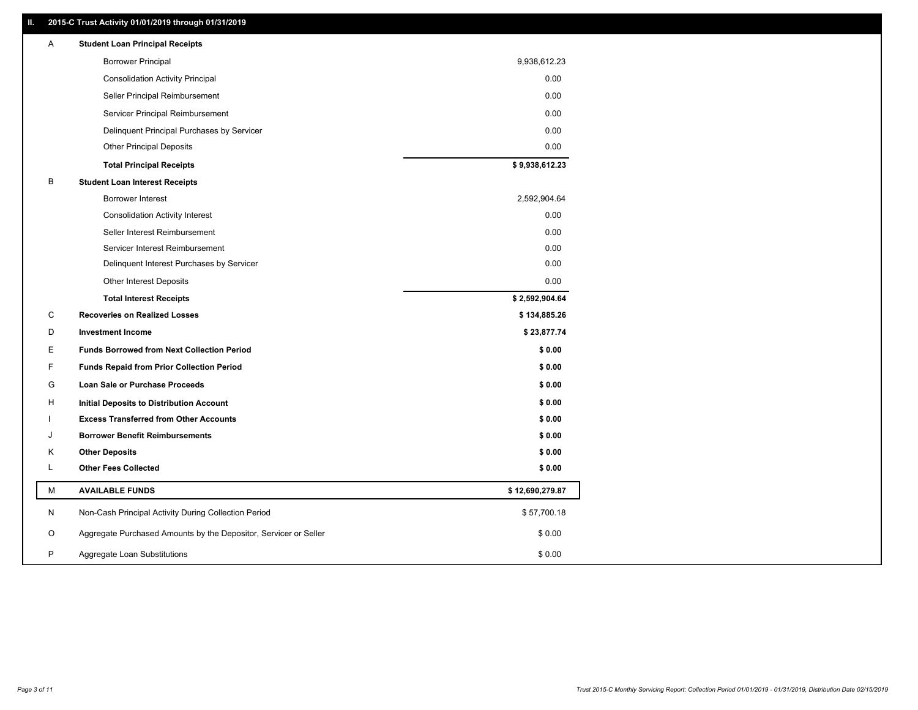### **II. 2015-C Trust Activity 01/01/2019 through 01/31/2019**

| Α | <b>Student Loan Principal Receipts</b>                           |                 |
|---|------------------------------------------------------------------|-----------------|
|   | <b>Borrower Principal</b>                                        | 9,938,612.23    |
|   | <b>Consolidation Activity Principal</b>                          | 0.00            |
|   | Seller Principal Reimbursement                                   | 0.00            |
|   | Servicer Principal Reimbursement                                 | 0.00            |
|   | Delinquent Principal Purchases by Servicer                       | 0.00            |
|   | <b>Other Principal Deposits</b>                                  | 0.00            |
|   | <b>Total Principal Receipts</b>                                  | \$9,938,612.23  |
| в | <b>Student Loan Interest Receipts</b>                            |                 |
|   | <b>Borrower Interest</b>                                         | 2,592,904.64    |
|   | <b>Consolidation Activity Interest</b>                           | 0.00            |
|   | Seller Interest Reimbursement                                    | 0.00            |
|   | Servicer Interest Reimbursement                                  | 0.00            |
|   | Delinquent Interest Purchases by Servicer                        | 0.00            |
|   | Other Interest Deposits                                          | 0.00            |
|   | <b>Total Interest Receipts</b>                                   | \$2,592,904.64  |
| C | <b>Recoveries on Realized Losses</b>                             | \$134,885.26    |
| D | <b>Investment Income</b>                                         | \$23,877.74     |
| E | <b>Funds Borrowed from Next Collection Period</b>                | \$0.00          |
| F | <b>Funds Repaid from Prior Collection Period</b>                 | \$0.00          |
| G | Loan Sale or Purchase Proceeds                                   | \$0.00          |
| н | Initial Deposits to Distribution Account                         | \$0.00          |
|   | <b>Excess Transferred from Other Accounts</b>                    | \$0.00          |
| J | <b>Borrower Benefit Reimbursements</b>                           | \$0.00          |
| Κ | <b>Other Deposits</b>                                            | \$0.00          |
| L | <b>Other Fees Collected</b>                                      | \$0.00          |
| М | <b>AVAILABLE FUNDS</b>                                           | \$12,690,279.87 |
| N | Non-Cash Principal Activity During Collection Period             | \$57,700.18     |
| O | Aggregate Purchased Amounts by the Depositor, Servicer or Seller | \$0.00          |
| P | Aggregate Loan Substitutions                                     | \$0.00          |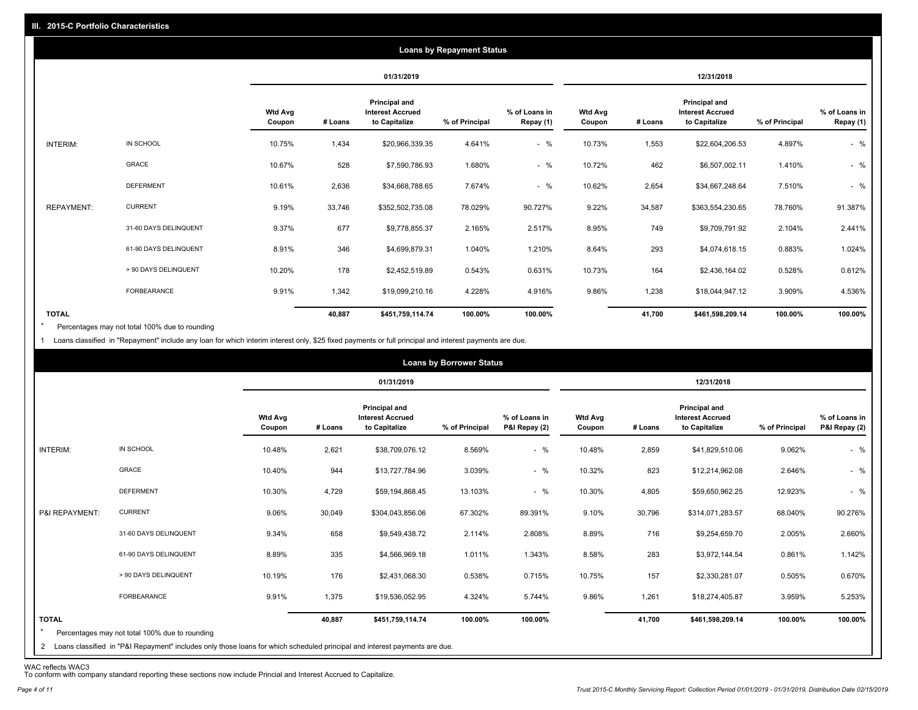|                   |                       |                          |         |                                                           | <b>Loans by Repayment Status</b> |                            |                          |         |                                                           |                |                            |
|-------------------|-----------------------|--------------------------|---------|-----------------------------------------------------------|----------------------------------|----------------------------|--------------------------|---------|-----------------------------------------------------------|----------------|----------------------------|
|                   |                       |                          |         | 01/31/2019                                                |                                  |                            |                          |         | 12/31/2018                                                |                |                            |
|                   |                       | <b>Wtd Avg</b><br>Coupon | # Loans | Principal and<br><b>Interest Accrued</b><br>to Capitalize | % of Principal                   | % of Loans in<br>Repay (1) | <b>Wtd Avg</b><br>Coupon | # Loans | Principal and<br><b>Interest Accrued</b><br>to Capitalize | % of Principal | % of Loans in<br>Repay (1) |
| INTERIM:          | IN SCHOOL             | 10.75%                   | 1,434   | \$20,966,339.35                                           | 4.641%                           | $-$ %                      | 10.73%                   | 1,553   | \$22,604,206.53                                           | 4.897%         | $-$ %                      |
|                   | GRACE                 | 10.67%                   | 528     | \$7,590,786.93                                            | 1.680%                           | $-$ %                      | 10.72%                   | 462     | \$6,507,002.11                                            | 1.410%         | $-$ %                      |
|                   | <b>DEFERMENT</b>      | 10.61%                   | 2,636   | \$34,668,788.65                                           | 7.674%                           | $-$ %                      | 10.62%                   | 2,654   | \$34,667,248.64                                           | 7.510%         | $-$ %                      |
| <b>REPAYMENT:</b> | <b>CURRENT</b>        | 9.19%                    | 33,746  | \$352,502,735.08                                          | 78.029%                          | 90.727%                    | 9.22%                    | 34,587  | \$363,554,230.65                                          | 78.760%        | 91.387%                    |
|                   | 31-60 DAYS DELINQUENT | 9.37%                    | 677     | \$9,778,855.37                                            | 2.165%                           | 2.517%                     | 8.95%                    | 749     | \$9,709,791.92                                            | 2.104%         | 2.441%                     |
|                   | 61-90 DAYS DELINQUENT | 8.91%                    | 346     | \$4,699,879.31                                            | 1.040%                           | 1.210%                     | 8.64%                    | 293     | \$4,074,618.15                                            | 0.883%         | 1.024%                     |
|                   | > 90 DAYS DELINQUENT  | 10.20%                   | 178     | \$2,452,519.89                                            | 0.543%                           | 0.631%                     | 10.73%                   | 164     | \$2,436,164.02                                            | 0.528%         | 0.612%                     |
|                   | FORBEARANCE           | 9.91%                    | 1,342   | \$19,099,210.16                                           | 4.228%                           | 4.916%                     | 9.86%                    | 1,238   | \$18,044,947.12                                           | 3.909%         | 4.536%                     |
| <b>TOTAL</b>      |                       |                          | 40,887  | \$451,759,114.74                                          | 100.00%                          | 100.00%                    |                          | 41,700  | \$461,598,209.14                                          | 100.00%        | 100.00%                    |

Percentages may not total 100% due to rounding  $\star$ 

1 Loans classified in "Repayment" include any loan for which interim interest only, \$25 fixed payments or full principal and interest payments are due.

|                         |                                                                                                                                                                                |                          |         |                                                           | <b>Loans by Borrower Status</b> |                                |                          |         |                                                                  |                |                                |
|-------------------------|--------------------------------------------------------------------------------------------------------------------------------------------------------------------------------|--------------------------|---------|-----------------------------------------------------------|---------------------------------|--------------------------------|--------------------------|---------|------------------------------------------------------------------|----------------|--------------------------------|
|                         |                                                                                                                                                                                |                          |         | 01/31/2019                                                |                                 |                                |                          |         | 12/31/2018                                                       |                |                                |
|                         |                                                                                                                                                                                | <b>Wtd Avg</b><br>Coupon | # Loans | Principal and<br><b>Interest Accrued</b><br>to Capitalize | % of Principal                  | % of Loans in<br>P&I Repay (2) | <b>Wtd Avg</b><br>Coupon | # Loans | <b>Principal and</b><br><b>Interest Accrued</b><br>to Capitalize | % of Principal | % of Loans in<br>P&I Repay (2) |
| INTERIM:                | IN SCHOOL                                                                                                                                                                      | 10.48%                   | 2,621   | \$38,709,076.12                                           | 8.569%                          | $-$ %                          | 10.48%                   | 2,859   | \$41,829,510.06                                                  | 9.062%         | $-$ %                          |
|                         | GRACE                                                                                                                                                                          | 10.40%                   | 944     | \$13,727,784.96                                           | 3.039%                          | $-$ %                          | 10.32%                   | 823     | \$12,214,962.08                                                  | 2.646%         | $-$ %                          |
|                         | <b>DEFERMENT</b>                                                                                                                                                               | 10.30%                   | 4,729   | \$59,194,868.45                                           | 13.103%                         | $-$ %                          | 10.30%                   | 4,805   | \$59,650,962.25                                                  | 12.923%        | $-$ %                          |
| P&I REPAYMENT:          | <b>CURRENT</b>                                                                                                                                                                 | 9.06%                    | 30,049  | \$304,043,856.06                                          | 67.302%                         | 89.391%                        | 9.10%                    | 30,796  | \$314,071,283.57                                                 | 68.040%        | 90.276%                        |
|                         | 31-60 DAYS DELINQUENT                                                                                                                                                          | 9.34%                    | 658     | \$9,549,438.72                                            | 2.114%                          | 2.808%                         | 8.89%                    | 716     | \$9,254,659.70                                                   | 2.005%         | 2.660%                         |
|                         | 61-90 DAYS DELINQUENT                                                                                                                                                          | 8.89%                    | 335     | \$4,566,969.18                                            | 1.011%                          | 1.343%                         | 8.58%                    | 283     | \$3,972,144.54                                                   | 0.861%         | 1.142%                         |
|                         | > 90 DAYS DELINQUENT                                                                                                                                                           | 10.19%                   | 176     | \$2,431,068.30                                            | 0.538%                          | 0.715%                         | 10.75%                   | 157     | \$2,330,281.07                                                   | 0.505%         | 0.670%                         |
|                         | FORBEARANCE                                                                                                                                                                    | 9.91%                    | 1,375   | \$19,536,052.95                                           | 4.324%                          | 5.744%                         | 9.86%                    | 1,261   | \$18,274,405.87                                                  | 3.959%         | 5.253%                         |
| <b>TOTAL</b><br>$\star$ | Percentages may not total 100% due to rounding<br>2 Loans classified in "P&I Repayment" includes only those loans for which scheduled principal and interest payments are due. |                          | 40,887  | \$451,759,114.74                                          | 100.00%                         | 100.00%                        |                          | 41,700  | \$461,598,209.14                                                 | 100.00%        | 100.00%                        |

WAC reflects WAC3 To conform with company standard reporting these sections now include Princial and Interest Accrued to Capitalize.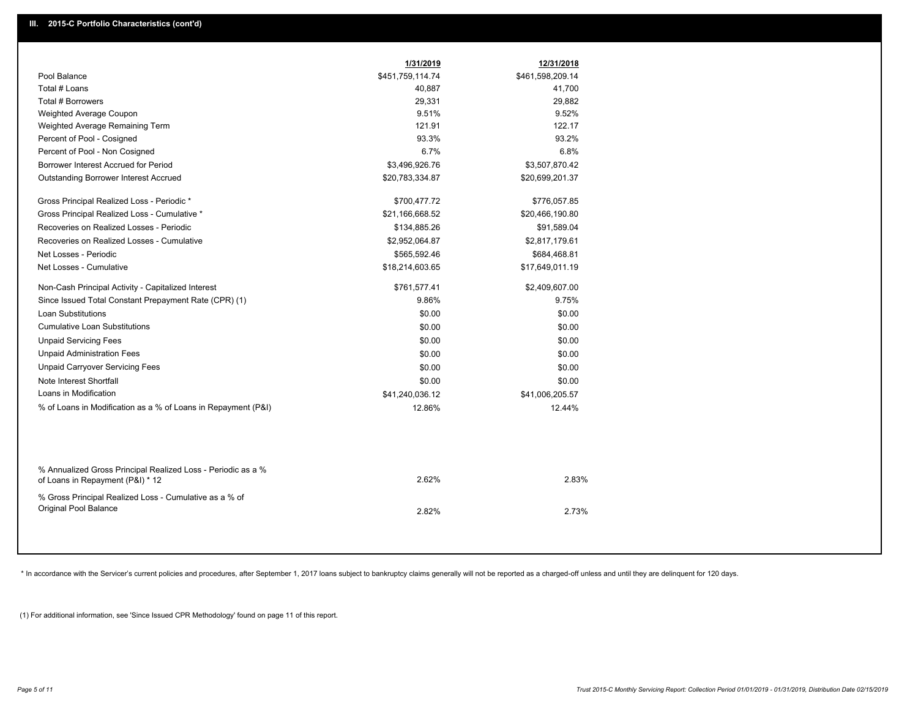| Pool Balance<br>\$451,759,114.74<br>\$461,598,209.14<br>Total # Loans<br>41,700<br>40,887<br>Total # Borrowers<br>29,331<br>29,882<br>9.51%<br>9.52%<br><b>Weighted Average Coupon</b><br>122.17<br>Weighted Average Remaining Term<br>121.91<br>Percent of Pool - Cosigned<br>93.3%<br>93.2%<br>6.7%<br>6.8%<br>Percent of Pool - Non Cosigned<br>Borrower Interest Accrued for Period<br>\$3,496,926.76<br>\$3,507,870.42<br>Outstanding Borrower Interest Accrued<br>\$20,783,334.87<br>\$20,699,201.37<br>Gross Principal Realized Loss - Periodic *<br>\$700,477.72<br>\$776,057.85<br>Gross Principal Realized Loss - Cumulative *<br>\$21,166,668.52<br>\$20,466,190.80<br>Recoveries on Realized Losses - Periodic<br>\$134,885.26<br>\$91,589.04<br>Recoveries on Realized Losses - Cumulative<br>\$2,952,064.87<br>\$2,817,179.61<br>Net Losses - Periodic<br>\$565,592.46<br>\$684,468.81<br>Net Losses - Cumulative<br>\$18,214,603.65<br>\$17,649,011.19<br>Non-Cash Principal Activity - Capitalized Interest<br>\$761,577.41<br>\$2,409,607.00<br>Since Issued Total Constant Prepayment Rate (CPR) (1)<br>9.86%<br>9.75%<br><b>Loan Substitutions</b><br>\$0.00<br>\$0.00<br><b>Cumulative Loan Substitutions</b><br>\$0.00<br>\$0.00<br>\$0.00<br><b>Unpaid Servicing Fees</b><br>\$0.00<br><b>Unpaid Administration Fees</b><br>\$0.00<br>\$0.00<br><b>Unpaid Carryover Servicing Fees</b><br>\$0.00<br>\$0.00<br>Note Interest Shortfall<br>\$0.00<br>\$0.00<br>Loans in Modification<br>\$41,240,036.12<br>\$41,006,205.57<br>% of Loans in Modification as a % of Loans in Repayment (P&I)<br>12.86%<br>12.44%<br>% Annualized Gross Principal Realized Loss - Periodic as a %<br>2.62%<br>2.83%<br>of Loans in Repayment (P&I) * 12<br>% Gross Principal Realized Loss - Cumulative as a % of<br><b>Original Pool Balance</b><br>2.73%<br>2.82% | 1/31/2019 | 12/31/2018 |
|-----------------------------------------------------------------------------------------------------------------------------------------------------------------------------------------------------------------------------------------------------------------------------------------------------------------------------------------------------------------------------------------------------------------------------------------------------------------------------------------------------------------------------------------------------------------------------------------------------------------------------------------------------------------------------------------------------------------------------------------------------------------------------------------------------------------------------------------------------------------------------------------------------------------------------------------------------------------------------------------------------------------------------------------------------------------------------------------------------------------------------------------------------------------------------------------------------------------------------------------------------------------------------------------------------------------------------------------------------------------------------------------------------------------------------------------------------------------------------------------------------------------------------------------------------------------------------------------------------------------------------------------------------------------------------------------------------------------------------------------------------------------------------------------------------------------------------------------------------------------------|-----------|------------|
|                                                                                                                                                                                                                                                                                                                                                                                                                                                                                                                                                                                                                                                                                                                                                                                                                                                                                                                                                                                                                                                                                                                                                                                                                                                                                                                                                                                                                                                                                                                                                                                                                                                                                                                                                                                                                                                                       |           |            |
|                                                                                                                                                                                                                                                                                                                                                                                                                                                                                                                                                                                                                                                                                                                                                                                                                                                                                                                                                                                                                                                                                                                                                                                                                                                                                                                                                                                                                                                                                                                                                                                                                                                                                                                                                                                                                                                                       |           |            |
|                                                                                                                                                                                                                                                                                                                                                                                                                                                                                                                                                                                                                                                                                                                                                                                                                                                                                                                                                                                                                                                                                                                                                                                                                                                                                                                                                                                                                                                                                                                                                                                                                                                                                                                                                                                                                                                                       |           |            |
|                                                                                                                                                                                                                                                                                                                                                                                                                                                                                                                                                                                                                                                                                                                                                                                                                                                                                                                                                                                                                                                                                                                                                                                                                                                                                                                                                                                                                                                                                                                                                                                                                                                                                                                                                                                                                                                                       |           |            |
|                                                                                                                                                                                                                                                                                                                                                                                                                                                                                                                                                                                                                                                                                                                                                                                                                                                                                                                                                                                                                                                                                                                                                                                                                                                                                                                                                                                                                                                                                                                                                                                                                                                                                                                                                                                                                                                                       |           |            |
|                                                                                                                                                                                                                                                                                                                                                                                                                                                                                                                                                                                                                                                                                                                                                                                                                                                                                                                                                                                                                                                                                                                                                                                                                                                                                                                                                                                                                                                                                                                                                                                                                                                                                                                                                                                                                                                                       |           |            |
|                                                                                                                                                                                                                                                                                                                                                                                                                                                                                                                                                                                                                                                                                                                                                                                                                                                                                                                                                                                                                                                                                                                                                                                                                                                                                                                                                                                                                                                                                                                                                                                                                                                                                                                                                                                                                                                                       |           |            |
|                                                                                                                                                                                                                                                                                                                                                                                                                                                                                                                                                                                                                                                                                                                                                                                                                                                                                                                                                                                                                                                                                                                                                                                                                                                                                                                                                                                                                                                                                                                                                                                                                                                                                                                                                                                                                                                                       |           |            |
|                                                                                                                                                                                                                                                                                                                                                                                                                                                                                                                                                                                                                                                                                                                                                                                                                                                                                                                                                                                                                                                                                                                                                                                                                                                                                                                                                                                                                                                                                                                                                                                                                                                                                                                                                                                                                                                                       |           |            |
|                                                                                                                                                                                                                                                                                                                                                                                                                                                                                                                                                                                                                                                                                                                                                                                                                                                                                                                                                                                                                                                                                                                                                                                                                                                                                                                                                                                                                                                                                                                                                                                                                                                                                                                                                                                                                                                                       |           |            |
|                                                                                                                                                                                                                                                                                                                                                                                                                                                                                                                                                                                                                                                                                                                                                                                                                                                                                                                                                                                                                                                                                                                                                                                                                                                                                                                                                                                                                                                                                                                                                                                                                                                                                                                                                                                                                                                                       |           |            |
|                                                                                                                                                                                                                                                                                                                                                                                                                                                                                                                                                                                                                                                                                                                                                                                                                                                                                                                                                                                                                                                                                                                                                                                                                                                                                                                                                                                                                                                                                                                                                                                                                                                                                                                                                                                                                                                                       |           |            |
|                                                                                                                                                                                                                                                                                                                                                                                                                                                                                                                                                                                                                                                                                                                                                                                                                                                                                                                                                                                                                                                                                                                                                                                                                                                                                                                                                                                                                                                                                                                                                                                                                                                                                                                                                                                                                                                                       |           |            |
|                                                                                                                                                                                                                                                                                                                                                                                                                                                                                                                                                                                                                                                                                                                                                                                                                                                                                                                                                                                                                                                                                                                                                                                                                                                                                                                                                                                                                                                                                                                                                                                                                                                                                                                                                                                                                                                                       |           |            |
|                                                                                                                                                                                                                                                                                                                                                                                                                                                                                                                                                                                                                                                                                                                                                                                                                                                                                                                                                                                                                                                                                                                                                                                                                                                                                                                                                                                                                                                                                                                                                                                                                                                                                                                                                                                                                                                                       |           |            |
|                                                                                                                                                                                                                                                                                                                                                                                                                                                                                                                                                                                                                                                                                                                                                                                                                                                                                                                                                                                                                                                                                                                                                                                                                                                                                                                                                                                                                                                                                                                                                                                                                                                                                                                                                                                                                                                                       |           |            |
|                                                                                                                                                                                                                                                                                                                                                                                                                                                                                                                                                                                                                                                                                                                                                                                                                                                                                                                                                                                                                                                                                                                                                                                                                                                                                                                                                                                                                                                                                                                                                                                                                                                                                                                                                                                                                                                                       |           |            |
|                                                                                                                                                                                                                                                                                                                                                                                                                                                                                                                                                                                                                                                                                                                                                                                                                                                                                                                                                                                                                                                                                                                                                                                                                                                                                                                                                                                                                                                                                                                                                                                                                                                                                                                                                                                                                                                                       |           |            |
|                                                                                                                                                                                                                                                                                                                                                                                                                                                                                                                                                                                                                                                                                                                                                                                                                                                                                                                                                                                                                                                                                                                                                                                                                                                                                                                                                                                                                                                                                                                                                                                                                                                                                                                                                                                                                                                                       |           |            |
|                                                                                                                                                                                                                                                                                                                                                                                                                                                                                                                                                                                                                                                                                                                                                                                                                                                                                                                                                                                                                                                                                                                                                                                                                                                                                                                                                                                                                                                                                                                                                                                                                                                                                                                                                                                                                                                                       |           |            |
|                                                                                                                                                                                                                                                                                                                                                                                                                                                                                                                                                                                                                                                                                                                                                                                                                                                                                                                                                                                                                                                                                                                                                                                                                                                                                                                                                                                                                                                                                                                                                                                                                                                                                                                                                                                                                                                                       |           |            |
|                                                                                                                                                                                                                                                                                                                                                                                                                                                                                                                                                                                                                                                                                                                                                                                                                                                                                                                                                                                                                                                                                                                                                                                                                                                                                                                                                                                                                                                                                                                                                                                                                                                                                                                                                                                                                                                                       |           |            |
|                                                                                                                                                                                                                                                                                                                                                                                                                                                                                                                                                                                                                                                                                                                                                                                                                                                                                                                                                                                                                                                                                                                                                                                                                                                                                                                                                                                                                                                                                                                                                                                                                                                                                                                                                                                                                                                                       |           |            |
|                                                                                                                                                                                                                                                                                                                                                                                                                                                                                                                                                                                                                                                                                                                                                                                                                                                                                                                                                                                                                                                                                                                                                                                                                                                                                                                                                                                                                                                                                                                                                                                                                                                                                                                                                                                                                                                                       |           |            |
|                                                                                                                                                                                                                                                                                                                                                                                                                                                                                                                                                                                                                                                                                                                                                                                                                                                                                                                                                                                                                                                                                                                                                                                                                                                                                                                                                                                                                                                                                                                                                                                                                                                                                                                                                                                                                                                                       |           |            |
|                                                                                                                                                                                                                                                                                                                                                                                                                                                                                                                                                                                                                                                                                                                                                                                                                                                                                                                                                                                                                                                                                                                                                                                                                                                                                                                                                                                                                                                                                                                                                                                                                                                                                                                                                                                                                                                                       |           |            |
|                                                                                                                                                                                                                                                                                                                                                                                                                                                                                                                                                                                                                                                                                                                                                                                                                                                                                                                                                                                                                                                                                                                                                                                                                                                                                                                                                                                                                                                                                                                                                                                                                                                                                                                                                                                                                                                                       |           |            |
|                                                                                                                                                                                                                                                                                                                                                                                                                                                                                                                                                                                                                                                                                                                                                                                                                                                                                                                                                                                                                                                                                                                                                                                                                                                                                                                                                                                                                                                                                                                                                                                                                                                                                                                                                                                                                                                                       |           |            |

\* In accordance with the Servicer's current policies and procedures, after September 1, 2017 loans subject to bankruptcy claims generally will not be reported as a charged-off unless and until they are delinquent for 120 d

(1) For additional information, see 'Since Issued CPR Methodology' found on page 11 of this report.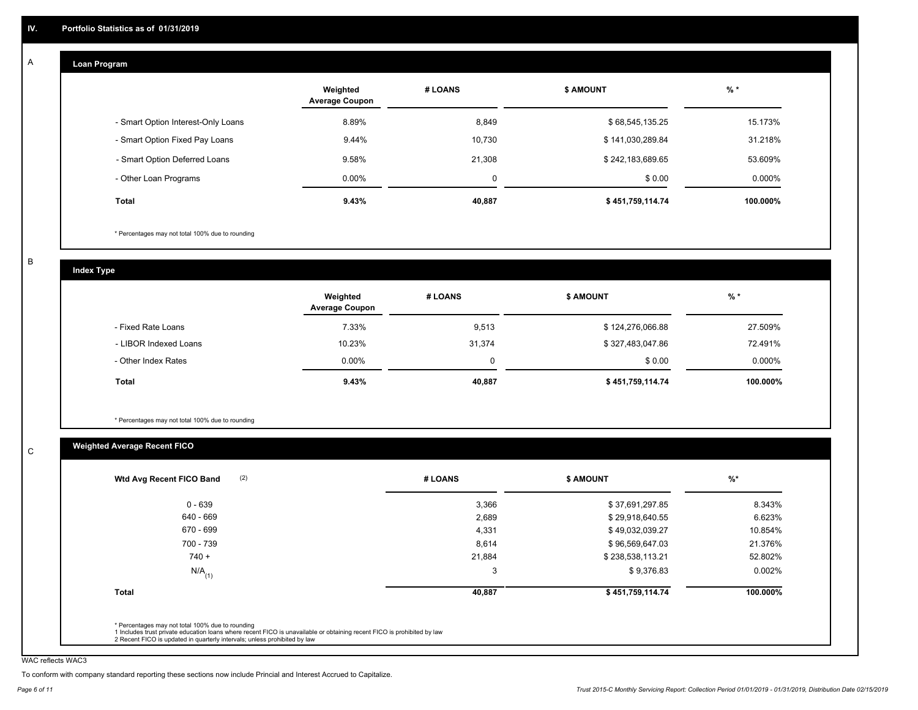#### **Loan Program**  A

|                                    | Weighted<br><b>Average Coupon</b> | # LOANS     | <b>\$ AMOUNT</b> | $%$ *    |
|------------------------------------|-----------------------------------|-------------|------------------|----------|
| - Smart Option Interest-Only Loans | 8.89%                             | 8,849       | \$68,545,135.25  | 15.173%  |
| - Smart Option Fixed Pay Loans     | 9.44%                             | 10,730      | \$141,030,289.84 | 31.218%  |
| - Smart Option Deferred Loans      | 9.58%                             | 21.308      | \$242,183,689.65 | 53.609%  |
| - Other Loan Programs              | $0.00\%$                          | $\mathbf 0$ | \$0.00           | 0.000%   |
| <b>Total</b>                       | 9.43%                             | 40,887      | \$451,759,114.74 | 100.000% |

\* Percentages may not total 100% due to rounding

B

C

**Index Type**

|                       | Weighted<br><b>Average Coupon</b> | # LOANS | <b>\$ AMOUNT</b> | $%$ *     |
|-----------------------|-----------------------------------|---------|------------------|-----------|
| - Fixed Rate Loans    | 7.33%                             | 9,513   | \$124,276,066.88 | 27.509%   |
| - LIBOR Indexed Loans | 10.23%                            | 31,374  | \$327,483,047.86 | 72.491%   |
| - Other Index Rates   | $0.00\%$                          |         | \$0.00           | $0.000\%$ |
| <b>Total</b>          | 9.43%                             | 40,887  | \$451,759,114.74 | 100.000%  |

\* Percentages may not total 100% due to rounding

# **Weighted Average Recent FICO**

| 0 - 639              | 3,366  |                  |          |
|----------------------|--------|------------------|----------|
|                      |        | \$37,691,297.85  | 8.343%   |
| 640 - 669            | 2,689  | \$29,918,640.55  | 6.623%   |
| 670 - 699            | 4,331  | \$49,032,039.27  | 10.854%  |
| 700 - 739            | 8,614  | \$96,569,647.03  | 21.376%  |
| $740 +$              | 21,884 | \$238,538,113.21 | 52.802%  |
| $N/A$ <sub>(1)</sub> | 3      | \$9,376.83       | 0.002%   |
| <b>Total</b>         | 40,887 | \$451,759,114.74 | 100.000% |

WAC reflects WAC3

To conform with company standard reporting these sections now include Princial and Interest Accrued to Capitalize.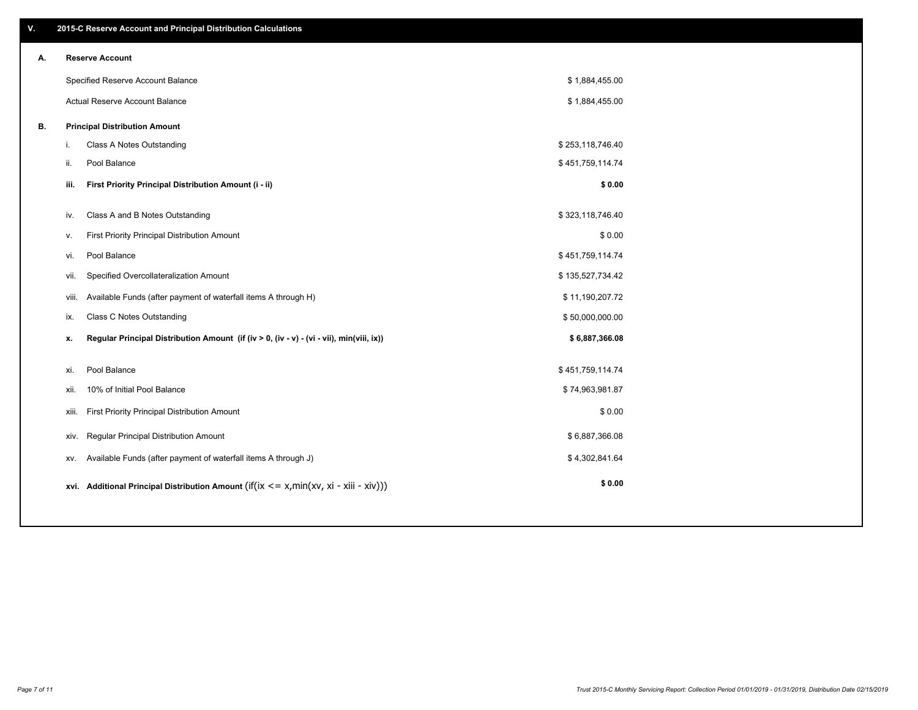| ۷. | 2015-C Reserve Account and Principal Distribution Calculations                                 |                  |  |
|----|------------------------------------------------------------------------------------------------|------------------|--|
| А. | <b>Reserve Account</b>                                                                         |                  |  |
|    | Specified Reserve Account Balance                                                              | \$1,884,455.00   |  |
|    | Actual Reserve Account Balance                                                                 | \$1,884,455.00   |  |
| В. | <b>Principal Distribution Amount</b>                                                           |                  |  |
|    | Class A Notes Outstanding<br>i.                                                                | \$253,118,746.40 |  |
|    | ii.<br>Pool Balance                                                                            | \$451,759,114.74 |  |
|    | First Priority Principal Distribution Amount (i - ii)<br>iii.                                  | \$0.00           |  |
|    |                                                                                                |                  |  |
|    | Class A and B Notes Outstanding<br>iv.                                                         | \$323,118,746.40 |  |
|    | First Priority Principal Distribution Amount<br>v.                                             | \$0.00           |  |
|    | Pool Balance<br>vi.                                                                            | \$451,759,114.74 |  |
|    | Specified Overcollateralization Amount<br>vii.                                                 | \$135,527,734.42 |  |
|    | Available Funds (after payment of waterfall items A through H)<br>viii.                        | \$11,190,207.72  |  |
|    | <b>Class C Notes Outstanding</b><br>ix.                                                        | \$50,000,000.00  |  |
|    | Regular Principal Distribution Amount (if (iv > 0, (iv - v) - (vi - vii), min(viii, ix))<br>x. | \$6,887,366.08   |  |
|    |                                                                                                |                  |  |
|    | Pool Balance<br>xi.                                                                            | \$451,759,114.74 |  |
|    | 10% of Initial Pool Balance<br>xii.                                                            | \$74,963,981.87  |  |
|    | First Priority Principal Distribution Amount<br>xiii.                                          | \$0.00           |  |
|    | Regular Principal Distribution Amount<br>XIV.                                                  | \$6,887,366.08   |  |
|    | Available Funds (after payment of waterfall items A through J)<br>XV.                          | \$4,302,841.64   |  |
|    | xvi. Additional Principal Distribution Amount (if(ix $\lt$ = x, min(xv, xi - xiii - xiv)))     | \$0.00           |  |
|    |                                                                                                |                  |  |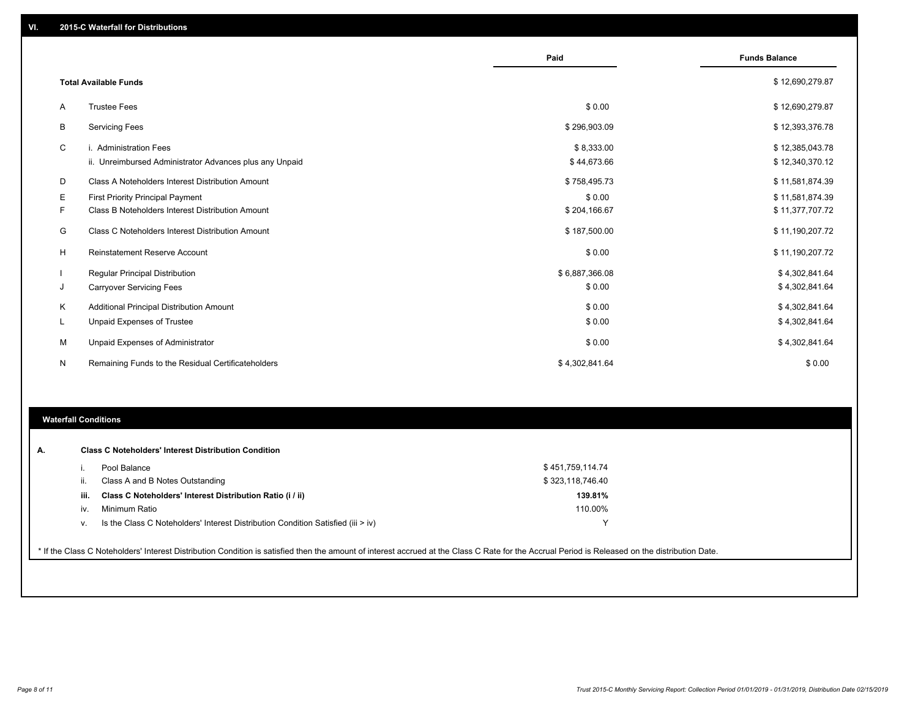|        |                                                                                             | Paid                      | <b>Funds Balance</b>               |
|--------|---------------------------------------------------------------------------------------------|---------------------------|------------------------------------|
|        | <b>Total Available Funds</b>                                                                |                           | \$12,690,279.87                    |
| Α      | <b>Trustee Fees</b>                                                                         | \$0.00                    | \$12,690,279.87                    |
| B      | <b>Servicing Fees</b>                                                                       | \$296,903.09              | \$12,393,376.78                    |
| С      | i. Administration Fees<br>ii. Unreimbursed Administrator Advances plus any Unpaid           | \$8,333.00<br>\$44,673.66 | \$12,385,043.78<br>\$12,340,370.12 |
| D      | Class A Noteholders Interest Distribution Amount                                            | \$758,495.73              | \$11,581,874.39                    |
| Е<br>F | <b>First Priority Principal Payment</b><br>Class B Noteholders Interest Distribution Amount | \$0.00<br>\$204,166.67    | \$11,581,874.39<br>\$11,377,707.72 |
| G      | Class C Noteholders Interest Distribution Amount                                            | \$187,500.00              | \$11,190,207.72                    |
| H      | Reinstatement Reserve Account                                                               | \$0.00                    | \$11,190,207.72                    |
| J      | <b>Regular Principal Distribution</b><br><b>Carryover Servicing Fees</b>                    | \$6,887,366.08<br>\$0.00  | \$4,302,841.64<br>\$4,302,841.64   |
| Κ      | Additional Principal Distribution Amount                                                    | \$0.00                    | \$4,302,841.64                     |
| L      | <b>Unpaid Expenses of Trustee</b>                                                           | \$0.00                    | \$4,302,841.64                     |
| М      | Unpaid Expenses of Administrator                                                            | \$0.00                    | \$4,302,841.64                     |
| N      | Remaining Funds to the Residual Certificateholders                                          | \$4,302,841.64            | \$0.00                             |
|        |                                                                                             |                           |                                    |
|        |                                                                                             |                           |                                    |

### **Waterfall Conditions**

| А. |      | <b>Class C Noteholders' Interest Distribution Condition</b>                                                                                                                                     |                  |  |
|----|------|-------------------------------------------------------------------------------------------------------------------------------------------------------------------------------------------------|------------------|--|
|    |      | Pool Balance                                                                                                                                                                                    | \$451,759,114.74 |  |
|    |      | Class A and B Notes Outstanding                                                                                                                                                                 | \$323,118,746.40 |  |
|    | iii. | Class C Noteholders' Interest Distribution Ratio (i / ii)                                                                                                                                       | 139.81%          |  |
|    | iv.  | Minimum Ratio                                                                                                                                                                                   | 110.00%          |  |
|    | V.   | Is the Class C Noteholders' Interest Distribution Condition Satisfied (iii $>$ iv)                                                                                                              |                  |  |
|    |      | * If the Class C Noteholders' Interest Distribution Condition is satisfied then the amount of interest accrued at the Class C Rate for the Accrual Period is Released on the distribution Date. |                  |  |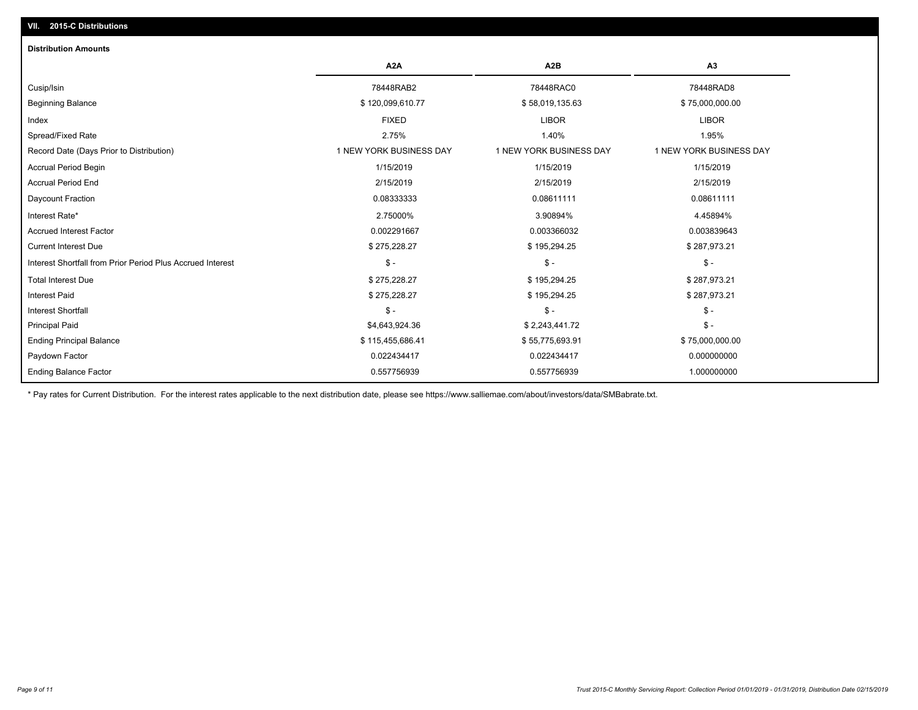## **VII. 2015-C Distributions**

| <b>Distribution Amounts</b>                                |                         |                         |                         |
|------------------------------------------------------------|-------------------------|-------------------------|-------------------------|
|                                                            | A <sub>2</sub> A        | A <sub>2</sub> B        | A <sub>3</sub>          |
| Cusip/Isin                                                 | 78448RAB2               | 78448RAC0               | 78448RAD8               |
| <b>Beginning Balance</b>                                   | \$120,099,610.77        | \$58,019,135.63         | \$75,000,000.00         |
| Index                                                      | <b>FIXED</b>            | <b>LIBOR</b>            | <b>LIBOR</b>            |
| Spread/Fixed Rate                                          | 2.75%                   | 1.40%                   | 1.95%                   |
| Record Date (Days Prior to Distribution)                   | 1 NEW YORK BUSINESS DAY | 1 NEW YORK BUSINESS DAY | 1 NEW YORK BUSINESS DAY |
| Accrual Period Begin                                       | 1/15/2019               | 1/15/2019               | 1/15/2019               |
| <b>Accrual Period End</b>                                  | 2/15/2019               | 2/15/2019               | 2/15/2019               |
| Daycount Fraction                                          | 0.08333333              | 0.08611111              | 0.08611111              |
| Interest Rate*                                             | 2.75000%                | 3.90894%                | 4.45894%                |
| <b>Accrued Interest Factor</b>                             | 0.002291667             | 0.003366032             | 0.003839643             |
| <b>Current Interest Due</b>                                | \$275,228.27            | \$195,294.25            | \$287,973.21            |
| Interest Shortfall from Prior Period Plus Accrued Interest | $\mathsf{\$}$ -         | $\mathcal{S}$ -         | $\frac{1}{2}$           |
| <b>Total Interest Due</b>                                  | \$275,228.27            | \$195,294.25            | \$287,973.21            |
| <b>Interest Paid</b>                                       | \$275,228.27            | \$195,294.25            | \$287,973.21            |
| <b>Interest Shortfall</b>                                  | $\mathsf{\$}$ -         | $\mathsf{\$}$ -         | $\mathsf{\$}$ -         |
| <b>Principal Paid</b>                                      | \$4,643,924.36          | \$2,243,441.72          | $$ -$                   |
| <b>Ending Principal Balance</b>                            | \$115,455,686.41        | \$55,775,693.91         | \$75,000,000.00         |
| Paydown Factor                                             | 0.022434417             | 0.022434417             | 0.000000000             |
| <b>Ending Balance Factor</b>                               | 0.557756939             | 0.557756939             | 1.000000000             |

\* Pay rates for Current Distribution. For the interest rates applicable to the next distribution date, please see https://www.salliemae.com/about/investors/data/SMBabrate.txt.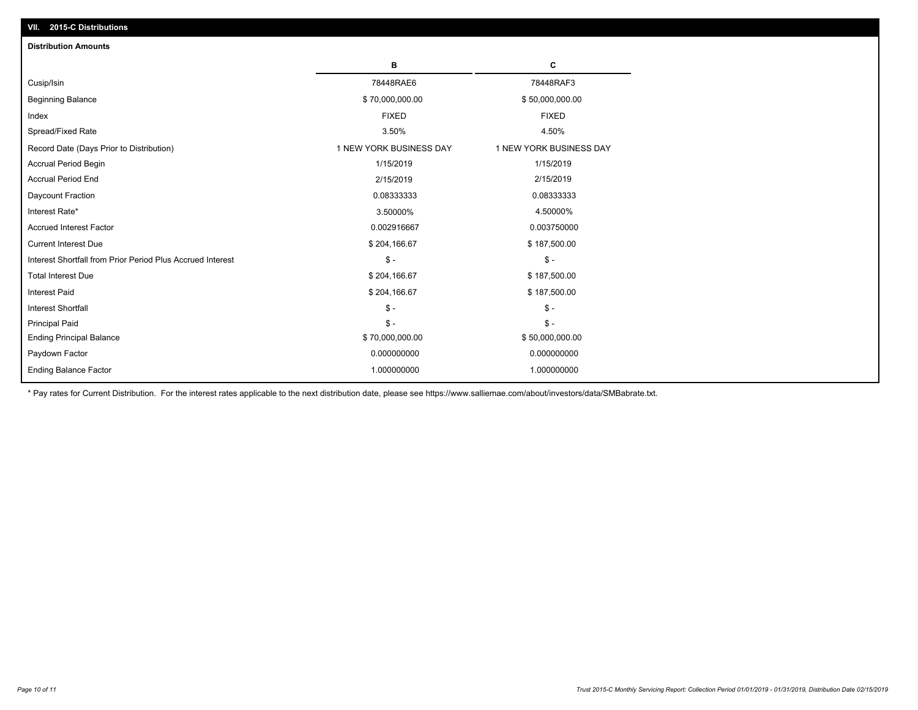| <b>Distribution Amounts</b>                                |                         |                         |
|------------------------------------------------------------|-------------------------|-------------------------|
|                                                            | в                       | C                       |
| Cusip/Isin                                                 | 78448RAE6               | 78448RAF3               |
| <b>Beginning Balance</b>                                   | \$70,000,000.00         | \$50,000,000.00         |
| Index                                                      | <b>FIXED</b>            | <b>FIXED</b>            |
| Spread/Fixed Rate                                          | 3.50%                   | 4.50%                   |
| Record Date (Days Prior to Distribution)                   | 1 NEW YORK BUSINESS DAY | 1 NEW YORK BUSINESS DAY |
| <b>Accrual Period Begin</b>                                | 1/15/2019               | 1/15/2019               |
| <b>Accrual Period End</b>                                  | 2/15/2019               | 2/15/2019               |
| Daycount Fraction                                          | 0.08333333              | 0.08333333              |
| Interest Rate*                                             | 3.50000%                | 4.50000%                |
| <b>Accrued Interest Factor</b>                             | 0.002916667             | 0.003750000             |
| <b>Current Interest Due</b>                                | \$204,166.67            | \$187,500.00            |
| Interest Shortfall from Prior Period Plus Accrued Interest | $\mathsf{\$}$ -         | $\mathsf{\$}$ -         |
| <b>Total Interest Due</b>                                  | \$204,166.67            | \$187,500.00            |
| Interest Paid                                              | \$204,166.67            | \$187,500.00            |
| Interest Shortfall                                         | $\mathsf{\$}$ -         | $\mathsf{\$}$ -         |
| <b>Principal Paid</b>                                      | $\mathsf{\$}$ -         | $$ -$                   |
| <b>Ending Principal Balance</b>                            | \$70,000,000.00         | \$50,000,000.00         |
| Paydown Factor                                             | 0.000000000             | 0.000000000             |
| <b>Ending Balance Factor</b>                               | 1.000000000             | 1.000000000             |

\* Pay rates for Current Distribution. For the interest rates applicable to the next distribution date, please see https://www.salliemae.com/about/investors/data/SMBabrate.txt.

**VII. 2015-C Distributions**